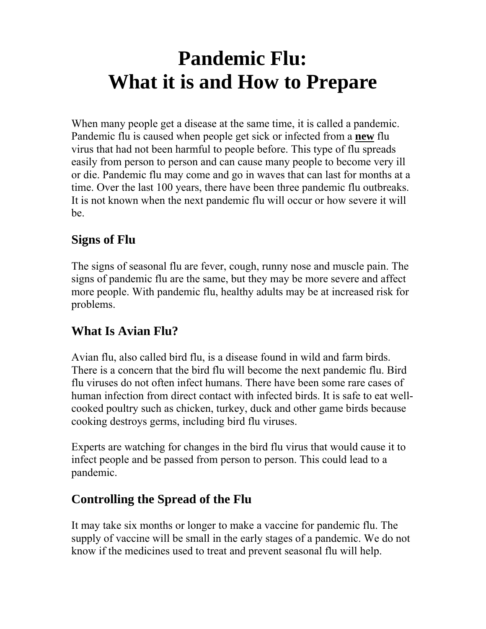# **Pandemic Flu: What it is and How to Prepare**

When many people get a disease at the same time, it is called a pandemic. Pandemic flu is caused when people get sick or infected from a **new** flu virus that had not been harmful to people before. This type of flu spreads easily from person to person and can cause many people to become very ill or die. Pandemic flu may come and go in waves that can last for months at a time. Over the last 100 years, there have been three pandemic flu outbreaks. It is not known when the next pandemic flu will occur or how severe it will be.

## **Signs of Flu**

The signs of seasonal flu are fever, cough, runny nose and muscle pain. The signs of pandemic flu are the same, but they may be more severe and affect more people. With pandemic flu, healthy adults may be at increased risk for problems.

## **What Is Avian Flu?**

Avian flu, also called bird flu, is a disease found in wild and farm birds. There is a concern that the bird flu will become the next pandemic flu. Bird flu viruses do not often infect humans. There have been some rare cases of human infection from direct contact with infected birds. It is safe to eat wellcooked poultry such as chicken, turkey, duck and other game birds because cooking destroys germs, including bird flu viruses.

Experts are watching for changes in the bird flu virus that would cause it to infect people and be passed from person to person. This could lead to a pandemic.

#### **Controlling the Spread of the Flu**

It may take six months or longer to make a vaccine for pandemic flu. The supply of vaccine will be small in the early stages of a pandemic. We do not know if the medicines used to treat and prevent seasonal flu will help.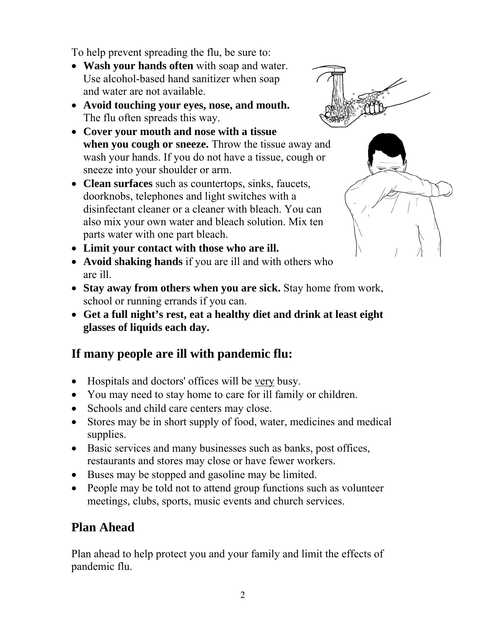To help prevent spreading the flu, be sure to:

- **Wash your hands often** with soap and water. Use alcohol-based hand sanitizer when soap and water are not available.
- **Avoid touching your eyes, nose, and mouth.** The flu often spreads this way.
- **Cover your mouth and nose with a tissue when you cough or sneeze.** Throw the tissue away and wash your hands. If you do not have a tissue, cough or sneeze into your shoulder or arm.
- **Clean surfaces** such as countertops, sinks, faucets, doorknobs, telephones and light switches with a disinfectant cleaner or a cleaner with bleach. You can also mix your own water and bleach solution. Mix ten parts water with one part bleach.
- **Limit your contact with those who are ill.**
- **Avoid shaking hands** if you are ill and with others who are ill.
- **Stay away from others when you are sick.** Stay home from work, school or running errands if you can.
- **Get a full night's rest, eat a healthy diet and drink at least eight glasses of liquids each day.**

# **If many people are ill with pandemic flu:**

- Hospitals and doctors' offices will be very busy.
- You may need to stay home to care for ill family or children.
- Schools and child care centers may close.
- Stores may be in short supply of food, water, medicines and medical supplies.
- Basic services and many businesses such as banks, post offices, restaurants and stores may close or have fewer workers.
- Buses may be stopped and gasoline may be limited.
- People may be told not to attend group functions such as volunteer meetings, clubs, sports, music events and church services.

# **Plan Ahead**

Plan ahead to help protect you and your family and limit the effects of pandemic flu.



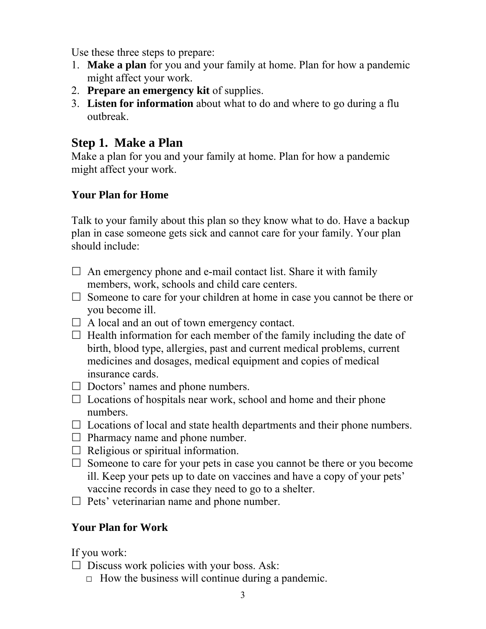Use these three steps to prepare:

- 1. **Make a plan** for you and your family at home. Plan for how a pandemic might affect your work.
- 2. **Prepare an emergency kit** of supplies.
- 3. **Listen for information** about what to do and where to go during a flu outbreak.

### **Step 1. Make a Plan**

Make a plan for you and your family at home. Plan for how a pandemic might affect your work.

#### **Your Plan for Home**

Talk to your family about this plan so they know what to do. Have a backup plan in case someone gets sick and cannot care for your family. Your plan should include:

- $\Box$  An emergency phone and e-mail contact list. Share it with family members, work, schools and child care centers.
- $\Box$  Someone to care for your children at home in case you cannot be there or you become ill.
- $\Box$  A local and an out of town emergency contact.
- $\Box$  Health information for each member of the family including the date of birth, blood type, allergies, past and current medical problems, current medicines and dosages, medical equipment and copies of medical insurance cards.
- $\Box$  Doctors' names and phone numbers.
- $\Box$  Locations of hospitals near work, school and home and their phone numbers.
- $\Box$  Locations of local and state health departments and their phone numbers.
- $\Box$  Pharmacy name and phone number.
- $\Box$  Religious or spiritual information.
- $\Box$  Someone to care for your pets in case you cannot be there or you become ill. Keep your pets up to date on vaccines and have a copy of your pets' vaccine records in case they need to go to a shelter.
- $\Box$  Pets' veterinarian name and phone number.

#### **Your Plan for Work**

If you work:

- $\Box$  Discuss work policies with your boss. Ask:
	- $\Box$  How the business will continue during a pandemic.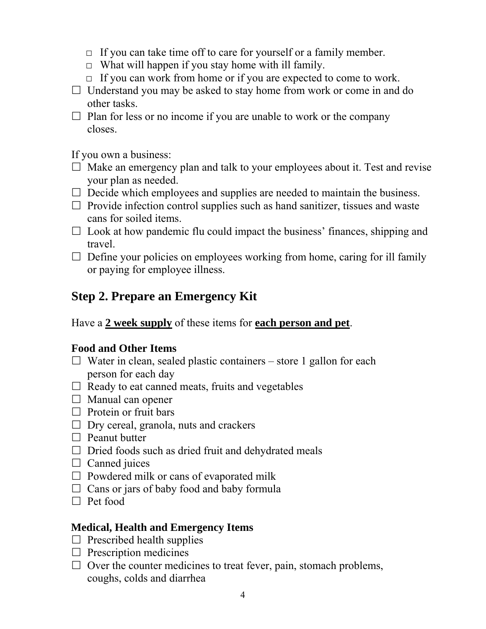- $\Box$  If you can take time off to care for yourself or a family member.
- $\Box$  What will happen if you stay home with ill family.
- $\Box$  If you can work from home or if you are expected to come to work.
- $\Box$  Understand you may be asked to stay home from work or come in and do other tasks.
- $\Box$  Plan for less or no income if you are unable to work or the company closes.

If you own a business:

- $\Box$  Make an emergency plan and talk to your employees about it. Test and revise your plan as needed.
- $\Box$  Decide which employees and supplies are needed to maintain the business.
- $\Box$  Provide infection control supplies such as hand sanitizer, tissues and waste cans for soiled items.
- $\Box$  Look at how pandemic flu could impact the business' finances, shipping and travel.
- $\Box$  Define your policies on employees working from home, caring for ill family or paying for employee illness.

# **Step 2. Prepare an Emergency Kit**

Have a **2 week supply** of these items for **each person and pet**.

#### **Food and Other Items**

- $\Box$  Water in clean, sealed plastic containers store 1 gallon for each person for each day
- $\Box$  Ready to eat canned meats, fruits and vegetables
- $\Box$  Manual can opener
- $\Box$  Protein or fruit bars
- $\Box$  Dry cereal, granola, nuts and crackers
- $\Box$  Peanut butter
- $\Box$  Dried foods such as dried fruit and dehydrated meals
- $\Box$  Canned juices
- $\Box$  Powdered milk or cans of evaporated milk
- $\Box$  Cans or jars of baby food and baby formula
- $\Box$  Pet food

#### **Medical, Health and Emergency Items**

- $\Box$  Prescribed health supplies
- $\square$  Prescription medicines
- $\Box$  Over the counter medicines to treat fever, pain, stomach problems, coughs, colds and diarrhea